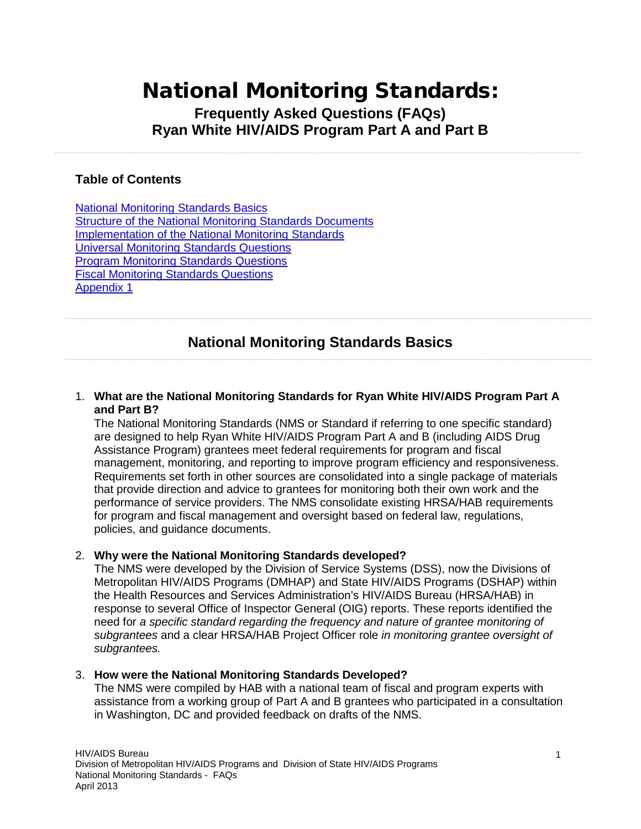# <span id="page-0-1"></span>National Monitoring Standards:

### **Frequently Asked Questions (FAQs) Ryan White HIV/AIDS Program Part A and Part B**

#### **Table of Contents**

[National Monitoring Standards Basics](#page-0-0) [Structure of the National Monitoring Standards Documents](#page-2-0) [Implementation of the National Monitoring Standards](#page-4-0) [Universal Monitoring Standards Questions](#page-7-0) [Program Monitoring Standards Questions](#page-11-0) [Fiscal Monitoring Standards Questions](#page-12-0) [Appendix 1](#page-17-0)

# **National Monitoring Standards Basics**

#### <span id="page-0-0"></span>1. **What are the National Monitoring Standards for Ryan White HIV/AIDS Program Part A and Part B?**

The National Monitoring Standards (NMS or Standard if referring to one specific standard) are designed to help Ryan White HIV/AIDS Program Part A and B (including AIDS Drug Assistance Program) grantees meet federal requirements for program and fiscal management, monitoring, and reporting to improve program efficiency and responsiveness. Requirements set forth in other sources are consolidated into a single package of materials that provide direction and advice to grantees for monitoring both their own work and the performance of service providers. The NMS consolidate existing HRSA/HAB requirements for program and fiscal management and oversight based on federal law, regulations, policies, and guidance documents.

#### 2. **Why were the National Monitoring Standards developed?**

The NMS were developed by the Division of Service Systems (DSS), now the Divisions of Metropolitan HIV/AIDS Programs (DMHAP) and State HIV/AIDS Programs (DSHAP) within the Health Resources and Services Administration's HIV/AIDS Bureau (HRSA/HAB) in response to several Office of Inspector General (OIG) reports. These reports identified the need for *a specific standard regarding the frequency and nature of grantee monitoring of subgrantees* and a clear HRSA/HAB Project Officer role *in monitoring grantee oversight of subgrantees.*

#### 3. **How were the National Monitoring Standards Developed?**

The NMS were compiled by HAB with a national team of fiscal and program experts with assistance from a working group of Part A and B grantees who participated in a consultation in Washington, DC and provided feedback on drafts of the NMS.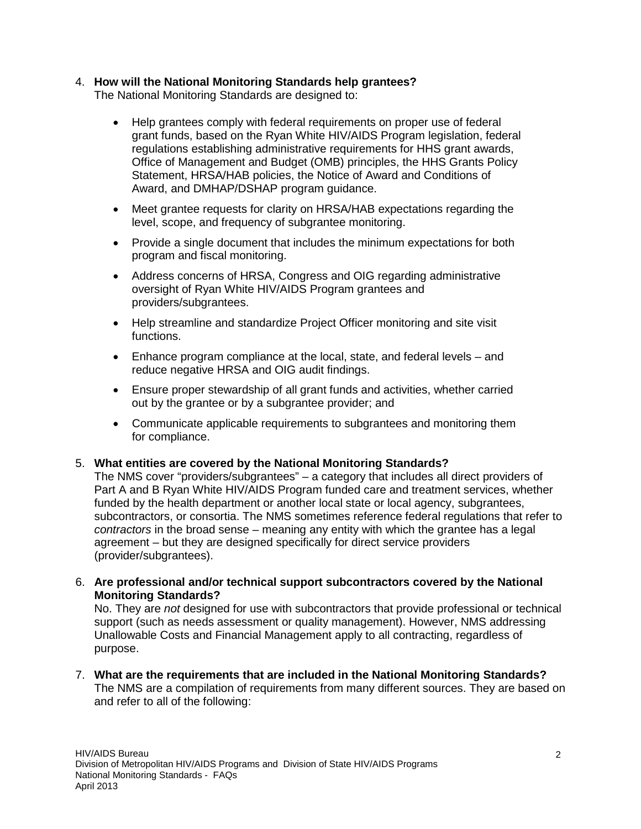#### 4. **How will the National Monitoring Standards help grantees?**

The National Monitoring Standards are designed to:

- Help grantees comply with federal requirements on proper use of federal grant funds, based on the Ryan White HIV/AIDS Program legislation, federal regulations establishing administrative requirements for HHS grant awards, Office of Management and Budget (OMB) principles, the HHS Grants Policy Statement, HRSA/HAB policies, the Notice of Award and Conditions of Award, and DMHAP/DSHAP program guidance.
- Meet grantee requests for clarity on HRSA/HAB expectations regarding the level, scope, and frequency of subgrantee monitoring.
- Provide a single document that includes the minimum expectations for both program and fiscal monitoring.
- Address concerns of HRSA, Congress and OIG regarding administrative oversight of Ryan White HIV/AIDS Program grantees and providers/subgrantees.
- Help streamline and standardize Project Officer monitoring and site visit functions.
- Enhance program compliance at the local, state, and federal levels and reduce negative HRSA and OIG audit findings.
- Ensure proper stewardship of all grant funds and activities, whether carried out by the grantee or by a subgrantee provider; and
- Communicate applicable requirements to subgrantees and monitoring them for compliance.

#### 5. **What entities are covered by the National Monitoring Standards?**

The NMS cover "providers/subgrantees" – a category that includes all direct providers of Part A and B Ryan White HIV/AIDS Program funded care and treatment services, whether funded by the health department or another local state or local agency, subgrantees, subcontractors, or consortia. The NMS sometimes reference federal regulations that refer to *contractors* in the broad sense – meaning any entity with which the grantee has a legal agreement – but they are designed specifically for direct service providers (provider/subgrantees).

6. **Are professional and/or technical support subcontractors covered by the National Monitoring Standards?**

No. They are *not* designed for use with subcontractors that provide professional or technical support (such as needs assessment or quality management). However, NMS addressing Unallowable Costs and Financial Management apply to all contracting, regardless of purpose.

7. **What are the requirements that are included in the National Monitoring Standards?** The NMS are a compilation of requirements from many different sources. They are based on and refer to all of the following: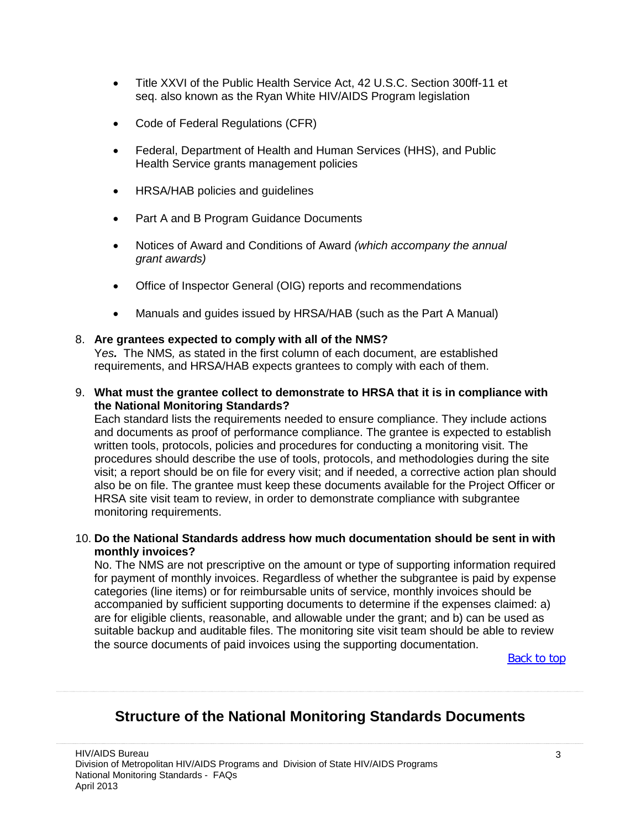- Title XXVI of the Public Health Service Act, 42 U.S.C. Section 300ff-11 et seq. also known as the Ryan White HIV/AIDS Program legislation
- Code of Federal Regulations (CFR)
- Federal, Department of Health and Human Services (HHS), and Public Health Service grants management policies
- HRSA/HAB policies and guidelines
- Part A and B Program Guidance Documents
- Notices of Award and Conditions of Award *(which accompany the annual grant awards)*
- Office of Inspector General (OIG) reports and recommendations
- Manuals and guides issued by HRSA/HAB (such as the Part A Manual)

#### 8. **Are grantees expected to comply with all of the NMS?**

Y*es.* The NMS*,* as stated in the first column of each document, are established requirements, and HRSA/HAB expects grantees to comply with each of them.

9. **What must the grantee collect to demonstrate to HRSA that it is in compliance with the National Monitoring Standards?**

Each standard lists the requirements needed to ensure compliance. They include actions and documents as proof of performance compliance. The grantee is expected to establish written tools, protocols, policies and procedures for conducting a monitoring visit. The procedures should describe the use of tools, protocols, and methodologies during the site visit; a report should be on file for every visit; and if needed, a corrective action plan should also be on file. The grantee must keep these documents available for the Project Officer or HRSA site visit team to review, in order to demonstrate compliance with subgrantee monitoring requirements.

#### 10. **Do the National Standards address how much documentation should be sent in with monthly invoices?**

No. The NMS are not prescriptive on the amount or type of supporting information required for payment of monthly invoices. Regardless of whether the subgrantee is paid by expense categories (line items) or for reimbursable units of service, monthly invoices should be accompanied by sufficient supporting documents to determine if the expenses claimed: a) are for eligible clients, reasonable, and allowable under the grant; and b) can be used as suitable backup and auditable files. The monitoring site visit team should be able to review the source documents of paid invoices using the supporting documentation.

**[Back to top](#page-0-1)** 

# <span id="page-2-0"></span>**Structure of the National Monitoring Standards Documents**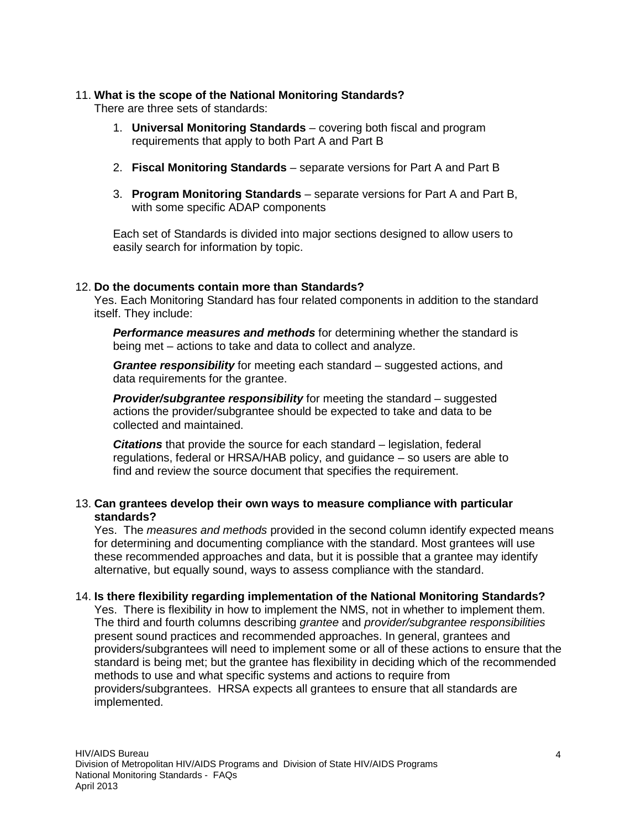#### 11. **What is the scope of the National Monitoring Standards?**

There are three sets of standards:

- 1. **Universal Monitoring Standards** covering both fiscal and program requirements that apply to both Part A and Part B
- 2. **Fiscal Monitoring Standards** separate versions for Part A and Part B
- 3. **Program Monitoring Standards** separate versions for Part A and Part B, with some specific ADAP components

Each set of Standards is divided into major sections designed to allow users to easily search for information by topic.

#### 12. **Do the documents contain more than Standards?**

Yes. Each Monitoring Standard has four related components in addition to the standard itself. They include:

*Performance measures and methods* for determining whether the standard is being met – actions to take and data to collect and analyze.

*Grantee responsibility* for meeting each standard – suggested actions, and data requirements for the grantee.

*Provider/subgrantee responsibility* for meeting the standard – suggested actions the provider/subgrantee should be expected to take and data to be collected and maintained.

*Citations* that provide the source for each standard – legislation, federal regulations, federal or HRSA/HAB policy, and guidance – so users are able to find and review the source document that specifies the requirement.

#### 13. **Can grantees develop their own ways to measure compliance with particular standards?**

Yes. The *measures and methods* provided in the second column identify expected means for determining and documenting compliance with the standard. Most grantees will use these recommended approaches and data, but it is possible that a grantee may identify alternative, but equally sound, ways to assess compliance with the standard.

#### 14. **Is there flexibility regarding implementation of the National Monitoring Standards?**

Yes. There is flexibility in how to implement the NMS, not in whether to implement them. The third and fourth columns describing *grantee* and *provider/subgrantee responsibilities* present sound practices and recommended approaches. In general, grantees and providers/subgrantees will need to implement some or all of these actions to ensure that the standard is being met; but the grantee has flexibility in deciding which of the recommended methods to use and what specific systems and actions to require from providers/subgrantees. HRSA expects all grantees to ensure that all standards are implemented.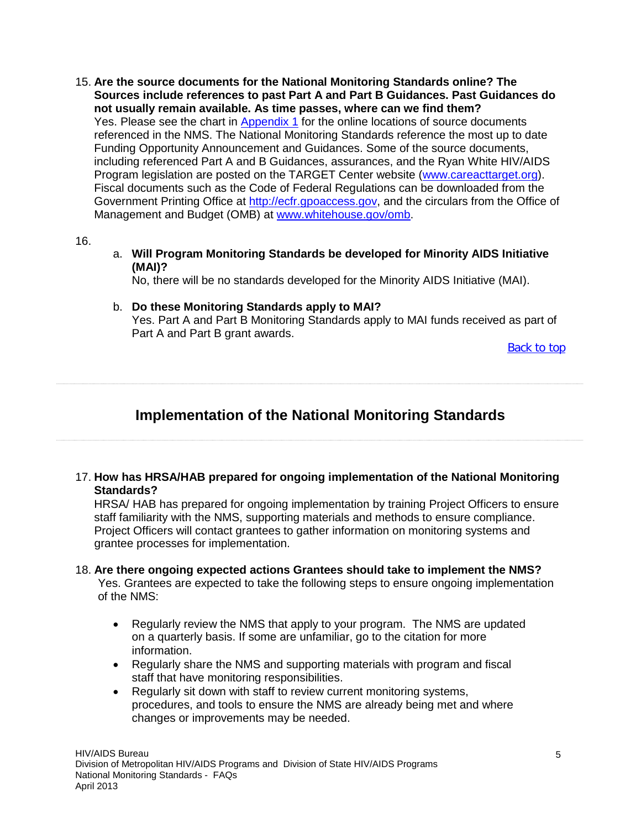15. **Are the source documents for the National Monitoring Standards online? The Sources include references to past Part A and Part B Guidances. Past Guidances do not usually remain available. As time passes, where can we find them?** Yes. Please see the chart in [Appendix 1](#page-17-0) for the online locations of source documents referenced in the NMS. The National Monitoring Standards reference the most up to date Funding Opportunity Announcement and Guidances. Some of the source documents, including referenced Part A and B Guidances, assurances, and the Ryan White HIV/AIDS Program legislation are posted on the TARGET Center website [\(www.careacttarget.org\)](http://www.careacttarget.org/). Fiscal documents such as the Code of Federal Regulations can be downloaded from the Government Printing Office at [http://ecfr.gpoaccess.gov,](http://ecfr.gpoaccess.gov/) and the circulars from the Office of Management and Budget (OMB) at [www.whitehouse.gov/omb.](http://www.whitehouse.gov/omb)

16.

a. **Will Program Monitoring Standards be developed for Minority AIDS Initiative (MAI)?**

No, there will be no standards developed for the Minority AIDS Initiative (MAI).

b. **Do these Monitoring Standards apply to MAI?** Yes. Part A and Part B Monitoring Standards apply to MAI funds received as part of Part A and Part B grant awards.

[Back to top](#page-0-1)

# <span id="page-4-0"></span>**Implementation of the National Monitoring Standards**

17. **How has HRSA/HAB prepared for ongoing implementation of the National Monitoring Standards?**

HRSA/ HAB has prepared for ongoing implementation by training Project Officers to ensure staff familiarity with the NMS, supporting materials and methods to ensure compliance. Project Officers will contact grantees to gather information on monitoring systems and grantee processes for implementation.

#### 18. **Are there ongoing expected actions Grantees should take to implement the NMS?**

Yes. Grantees are expected to take the following steps to ensure ongoing implementation of the NMS:

- Regularly review the NMS that apply to your program. The NMS are updated on a quarterly basis. If some are unfamiliar, go to the citation for more information.
- Regularly share the NMS and supporting materials with program and fiscal staff that have monitoring responsibilities.
- Regularly sit down with staff to review current monitoring systems, procedures, and tools to ensure the NMS are already being met and where changes or improvements may be needed.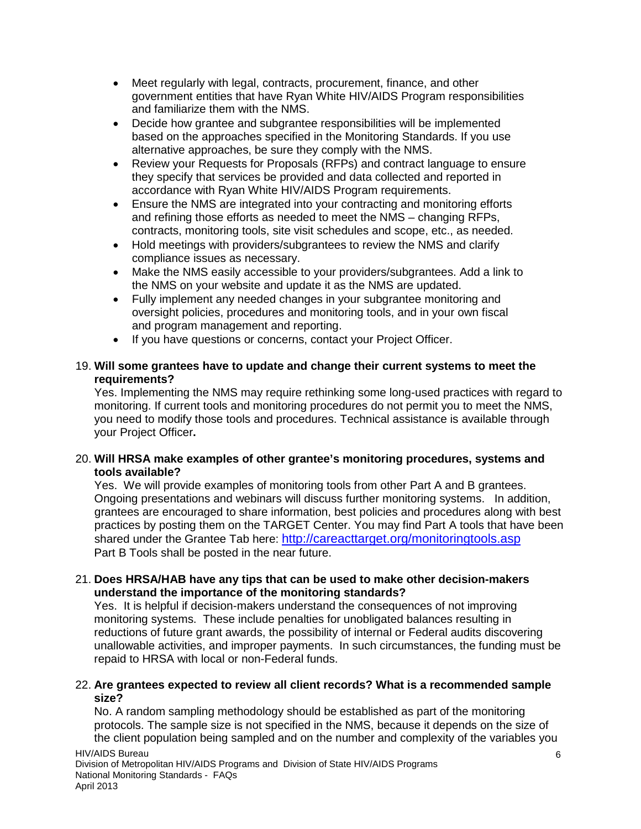- Meet regularly with legal, contracts, procurement, finance, and other government entities that have Ryan White HIV/AIDS Program responsibilities and familiarize them with the NMS.
- Decide how grantee and subgrantee responsibilities will be implemented based on the approaches specified in the Monitoring Standards. If you use alternative approaches, be sure they comply with the NMS.
- Review your Requests for Proposals (RFPs) and contract language to ensure they specify that services be provided and data collected and reported in accordance with Ryan White HIV/AIDS Program requirements.
- Ensure the NMS are integrated into your contracting and monitoring efforts and refining those efforts as needed to meet the NMS – changing RFPs, contracts, monitoring tools, site visit schedules and scope, etc., as needed.
- Hold meetings with providers/subgrantees to review the NMS and clarify compliance issues as necessary.
- Make the NMS easily accessible to your providers/subgrantees. Add a link to the NMS on your website and update it as the NMS are updated.
- Fully implement any needed changes in your subgrantee monitoring and oversight policies, procedures and monitoring tools, and in your own fiscal and program management and reporting.
- If you have questions or concerns, contact your Project Officer.

#### 19. **Will some grantees have to update and change their current systems to meet the requirements?**

Yes. Implementing the NMS may require rethinking some long-used practices with regard to monitoring. If current tools and monitoring procedures do not permit you to meet the NMS, you need to modify those tools and procedures. Technical assistance is available through your Project Officer**.**

#### 20. **Will HRSA make examples of other grantee's monitoring procedures, systems and tools available?**

Yes. We will provide examples of monitoring tools from other Part A and B grantees. Ongoing presentations and webinars will discuss further monitoring systems. In addition, grantees are encouraged to share information, best policies and procedures along with best practices by posting them on the TARGET Center. You may find Part A tools that have been shared under the Grantee Tab here:<http://careacttarget.org/monitoringtools.asp> Part B Tools shall be posted in the near future.

#### 21. **Does HRSA/HAB have any tips that can be used to make other decision-makers understand the importance of the monitoring standards?**

Yes. It is helpful if decision-makers understand the consequences of not improving monitoring systems. These include penalties for unobligated balances resulting in reductions of future grant awards, the possibility of internal or Federal audits discovering unallowable activities, and improper payments. In such circumstances, the funding must be repaid to HRSA with local or non-Federal funds.

#### 22. **Are grantees expected to review all client records? What is a recommended sample size?**

No. A random sampling methodology should be established as part of the monitoring protocols. The sample size is not specified in the NMS, because it depends on the size of the client population being sampled and on the number and complexity of the variables you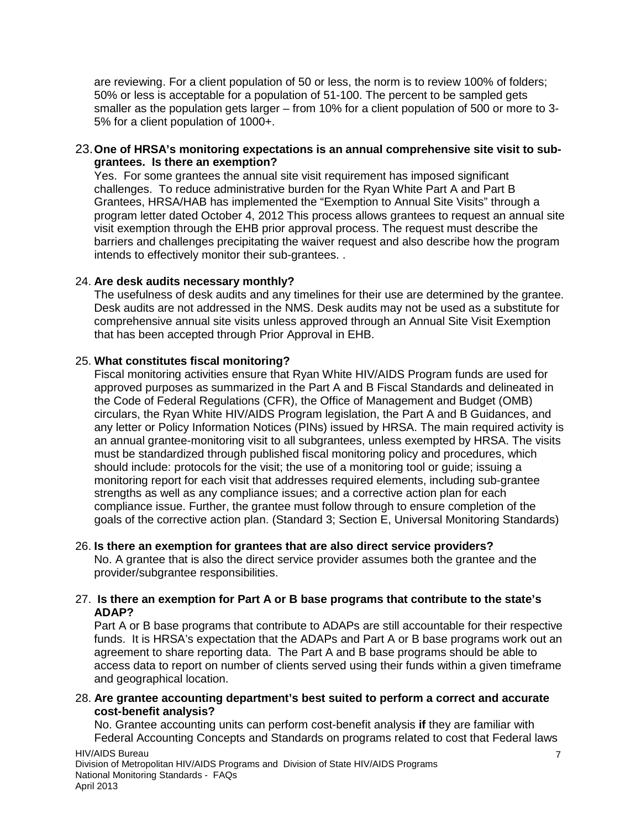are reviewing. For a client population of 50 or less, the norm is to review 100% of folders; 50% or less is acceptable for a population of 51-100. The percent to be sampled gets smaller as the population gets larger – from 10% for a client population of 500 or more to 3- 5% for a client population of 1000+.

#### 23.**One of HRSA's monitoring expectations is an annual comprehensive site visit to subgrantees. Is there an exemption?**

Yes. For some grantees the annual site visit requirement has imposed significant challenges. To reduce administrative burden for the Ryan White Part A and Part B Grantees, HRSA/HAB has implemented the "Exemption to Annual Site Visits" through a program letter dated October 4, 2012 This process allows grantees to request an annual site visit exemption through the EHB prior approval process. The request must describe the barriers and challenges precipitating the waiver request and also describe how the program intends to effectively monitor their sub-grantees. .

#### 24. **Are desk audits necessary monthly?**

The usefulness of desk audits and any timelines for their use are determined by the grantee. Desk audits are not addressed in the NMS. Desk audits may not be used as a substitute for comprehensive annual site visits unless approved through an Annual Site Visit Exemption that has been accepted through Prior Approval in EHB.

#### 25. **What constitutes fiscal monitoring?**

Fiscal monitoring activities ensure that Ryan White HIV/AIDS Program funds are used for approved purposes as summarized in the Part A and B Fiscal Standards and delineated in the Code of Federal Regulations (CFR), the Office of Management and Budget (OMB) circulars, the Ryan White HIV/AIDS Program legislation, the Part A and B Guidances, and any letter or Policy Information Notices (PINs) issued by HRSA. The main required activity is an annual grantee-monitoring visit to all subgrantees, unless exempted by HRSA. The visits must be standardized through published fiscal monitoring policy and procedures, which should include: protocols for the visit; the use of a monitoring tool or guide; issuing a monitoring report for each visit that addresses required elements, including sub-grantee strengths as well as any compliance issues; and a corrective action plan for each compliance issue. Further, the grantee must follow through to ensure completion of the goals of the corrective action plan. (Standard 3; Section E, Universal Monitoring Standards)

#### 26. **Is there an exemption for grantees that are also direct service providers?**

No. A grantee that is also the direct service provider assumes both the grantee and the provider/subgrantee responsibilities.

#### 27. **Is there an exemption for Part A or B base programs that contribute to the state's ADAP?**

Part A or B base programs that contribute to ADAPs are still accountable for their respective funds. It is HRSA's expectation that the ADAPs and Part A or B base programs work out an agreement to share reporting data. The Part A and B base programs should be able to access data to report on number of clients served using their funds within a given timeframe and geographical location.

28. **Are grantee accounting department's best suited to perform a correct and accurate cost-benefit analysis?**

No. Grantee accounting units can perform cost-benefit analysis **if** they are familiar with Federal Accounting Concepts and Standards on programs related to cost that Federal laws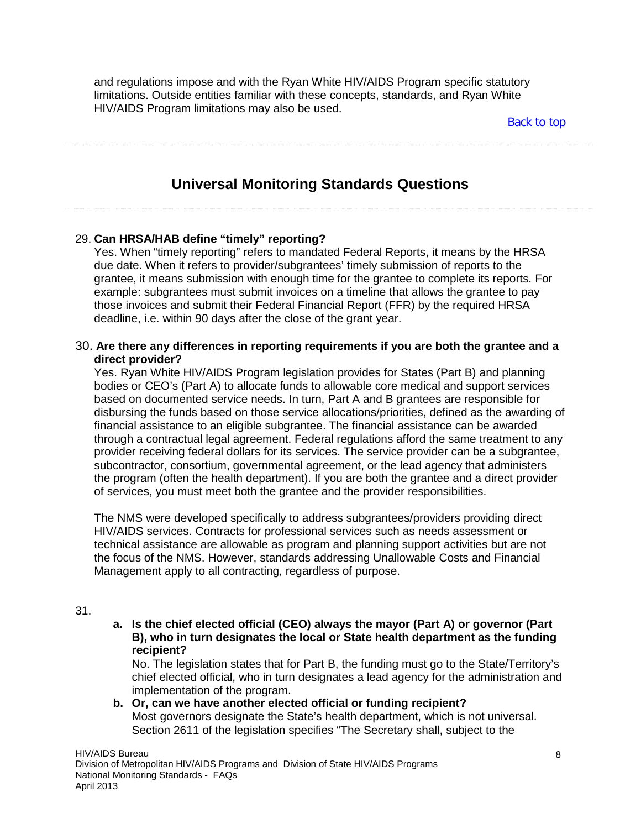and regulations impose and with the Ryan White HIV/AIDS Program specific statutory limitations. Outside entities familiar with these concepts, standards, and Ryan White HIV/AIDS Program limitations may also be used.

[Back to top](#page-0-1)

# **Universal Monitoring Standards Questions**

#### <span id="page-7-0"></span>29. **Can HRSA/HAB define "timely" reporting?**

Yes. When "timely reporting" refers to mandated Federal Reports, it means by the HRSA due date. When it refers to provider/subgrantees' timely submission of reports to the grantee, it means submission with enough time for the grantee to complete its reports. For example: subgrantees must submit invoices on a timeline that allows the grantee to pay those invoices and submit their Federal Financial Report (FFR) by the required HRSA deadline, i.e. within 90 days after the close of the grant year.

#### 30. **Are there any differences in reporting requirements if you are both the grantee and a direct provider?**

Yes. Ryan White HIV/AIDS Program legislation provides for States (Part B) and planning bodies or CEO's (Part A) to allocate funds to allowable core medical and support services based on documented service needs. In turn, Part A and B grantees are responsible for disbursing the funds based on those service allocations/priorities, defined as the awarding of financial assistance to an eligible subgrantee. The financial assistance can be awarded through a contractual legal agreement. Federal regulations afford the same treatment to any provider receiving federal dollars for its services. The service provider can be a subgrantee, subcontractor, consortium, governmental agreement, or the lead agency that administers the program (often the health department). If you are both the grantee and a direct provider of services, you must meet both the grantee and the provider responsibilities.

The NMS were developed specifically to address subgrantees/providers providing direct HIV/AIDS services. Contracts for professional services such as needs assessment or technical assistance are allowable as program and planning support activities but are not the focus of the NMS. However, standards addressing Unallowable Costs and Financial Management apply to all contracting, regardless of purpose.

#### 31.

**a. Is the chief elected official (CEO) always the mayor (Part A) or governor (Part B), who in turn designates the local or State health department as the funding recipient?** 

No. The legislation states that for Part B, the funding must go to the State/Territory's chief elected official, who in turn designates a lead agency for the administration and implementation of the program.

**b. Or, can we have another elected official or funding recipient?**  Most governors designate the State's health department, which is not universal. Section 2611 of the legislation specifies "The Secretary shall, subject to the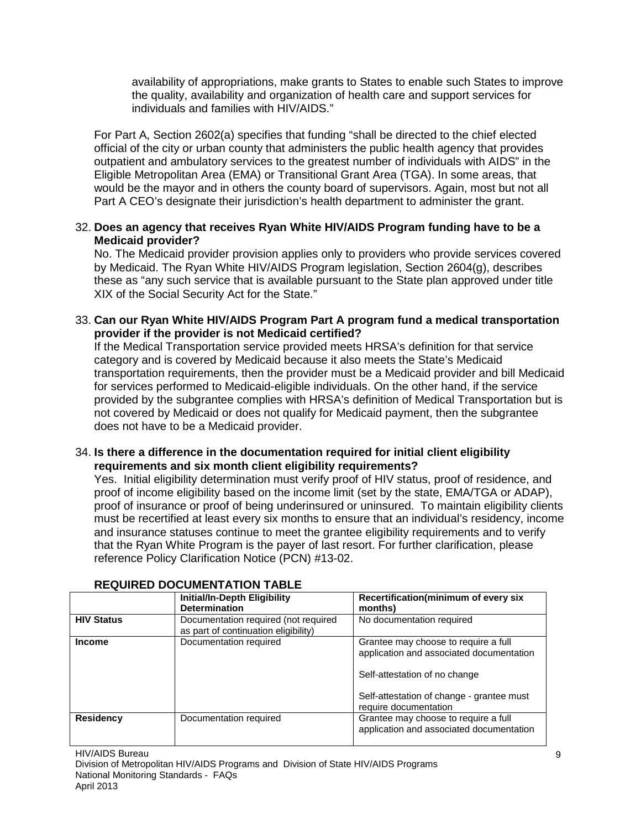availability of appropriations, make grants to States to enable such States to improve the quality, availability and organization of health care and support services for individuals and families with HIV/AIDS."

For Part A, Section 2602(a) specifies that funding "shall be directed to the chief elected official of the city or urban county that administers the public health agency that provides outpatient and ambulatory services to the greatest number of individuals with AIDS" in the Eligible Metropolitan Area (EMA) or Transitional Grant Area (TGA). In some areas, that would be the mayor and in others the county board of supervisors. Again, most but not all Part A CEO's designate their jurisdiction's health department to administer the grant.

#### 32. **Does an agency that receives Ryan White HIV/AIDS Program funding have to be a Medicaid provider?**

No. The Medicaid provider provision applies only to providers who provide services covered by Medicaid. The Ryan White HIV/AIDS Program legislation, Section 2604(g), describes these as "any such service that is available pursuant to the State plan approved under title XIX of the Social Security Act for the State."

#### 33. **Can our Ryan White HIV/AIDS Program Part A program fund a medical transportation provider if the provider is not Medicaid certified?**

If the Medical Transportation service provided meets HRSA's definition for that service category and is covered by Medicaid because it also meets the State's Medicaid transportation requirements, then the provider must be a Medicaid provider and bill Medicaid for services performed to Medicaid-eligible individuals. On the other hand, if the service provided by the subgrantee complies with HRSA's definition of Medical Transportation but is not covered by Medicaid or does not qualify for Medicaid payment, then the subgrantee does not have to be a Medicaid provider.

#### 34. **Is there a difference in the documentation required for initial client eligibility requirements and six month client eligibility requirements?**

Yes. Initial eligibility determination must verify proof of HIV status, proof of residence, and proof of income eligibility based on the income limit (set by the state, EMA/TGA or ADAP), proof of insurance or proof of being underinsured or uninsured. To maintain eligibility clients must be recertified at least every six months to ensure that an individual's residency, income and insurance statuses continue to meet the grantee eligibility requirements and to verify that the Ryan White Program is the payer of last resort. For further clarification, please reference Policy Clarification Notice (PCN) #13-02.

|                   | Initial/In-Depth Eligibility<br><b>Determination</b>                         | Recertification(minimum of every six<br>months)                                  |
|-------------------|------------------------------------------------------------------------------|----------------------------------------------------------------------------------|
| <b>HIV Status</b> | Documentation required (not required<br>as part of continuation eligibility) | No documentation required                                                        |
| <b>Income</b>     | Documentation required                                                       | Grantee may choose to require a full<br>application and associated documentation |
|                   |                                                                              | Self-attestation of no change                                                    |
|                   |                                                                              | Self-attestation of change - grantee must<br>require documentation               |
| <b>Residency</b>  | Documentation required                                                       | Grantee may choose to require a full<br>application and associated documentation |

#### **REQUIRED DOCUMENTATION TABLE**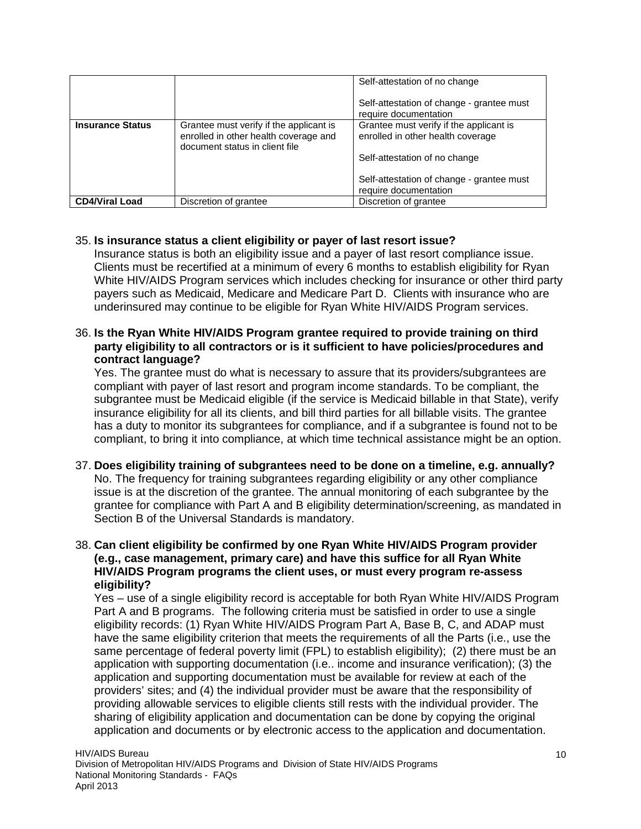|                         |                                                                                                                    | Self-attestation of no change<br>Self-attestation of change - grantee must<br>require documentation |
|-------------------------|--------------------------------------------------------------------------------------------------------------------|-----------------------------------------------------------------------------------------------------|
| <b>Insurance Status</b> | Grantee must verify if the applicant is<br>enrolled in other health coverage and<br>document status in client file | Grantee must verify if the applicant is<br>enrolled in other health coverage                        |
|                         |                                                                                                                    | Self-attestation of no change                                                                       |
|                         |                                                                                                                    | Self-attestation of change - grantee must<br>require documentation                                  |
| <b>CD4/Viral Load</b>   | Discretion of grantee                                                                                              | Discretion of grantee                                                                               |

#### 35. **Is insurance status a client eligibility or payer of last resort issue?**

Insurance status is both an eligibility issue and a payer of last resort compliance issue. Clients must be recertified at a minimum of every 6 months to establish eligibility for Ryan White HIV/AIDS Program services which includes checking for insurance or other third party payers such as Medicaid, Medicare and Medicare Part D. Clients with insurance who are underinsured may continue to be eligible for Ryan White HIV/AIDS Program services.

#### 36. **Is the Ryan White HIV/AIDS Program grantee required to provide training on third party eligibility to all contractors or is it sufficient to have policies/procedures and contract language?**

Yes. The grantee must do what is necessary to assure that its providers/subgrantees are compliant with payer of last resort and program income standards. To be compliant, the subgrantee must be Medicaid eligible (if the service is Medicaid billable in that State), verify insurance eligibility for all its clients, and bill third parties for all billable visits. The grantee has a duty to monitor its subgrantees for compliance, and if a subgrantee is found not to be compliant, to bring it into compliance, at which time technical assistance might be an option.

#### 37. **Does eligibility training of subgrantees need to be done on a timeline, e.g. annually?** No. The frequency for training subgrantees regarding eligibility or any other compliance issue is at the discretion of the grantee. The annual monitoring of each subgrantee by the grantee for compliance with Part A and B eligibility determination/screening, as mandated in Section B of the Universal Standards is mandatory.

#### 38. **Can client eligibility be confirmed by one Ryan White HIV/AIDS Program provider (e.g., case management, primary care) and have this suffice for all Ryan White HIV/AIDS Program programs the client uses, or must every program re-assess eligibility?**

Yes – use of a single eligibility record is acceptable for both Ryan White HIV/AIDS Program Part A and B programs. The following criteria must be satisfied in order to use a single eligibility records: (1) Ryan White HIV/AIDS Program Part A, Base B, C, and ADAP must have the same eligibility criterion that meets the requirements of all the Parts (i.e., use the same percentage of federal poverty limit (FPL) to establish eligibility); (2) there must be an application with supporting documentation (i.e.. income and insurance verification); (3) the application and supporting documentation must be available for review at each of the providers' sites; and (4) the individual provider must be aware that the responsibility of providing allowable services to eligible clients still rests with the individual provider. The sharing of eligibility application and documentation can be done by copying the original application and documents or by electronic access to the application and documentation.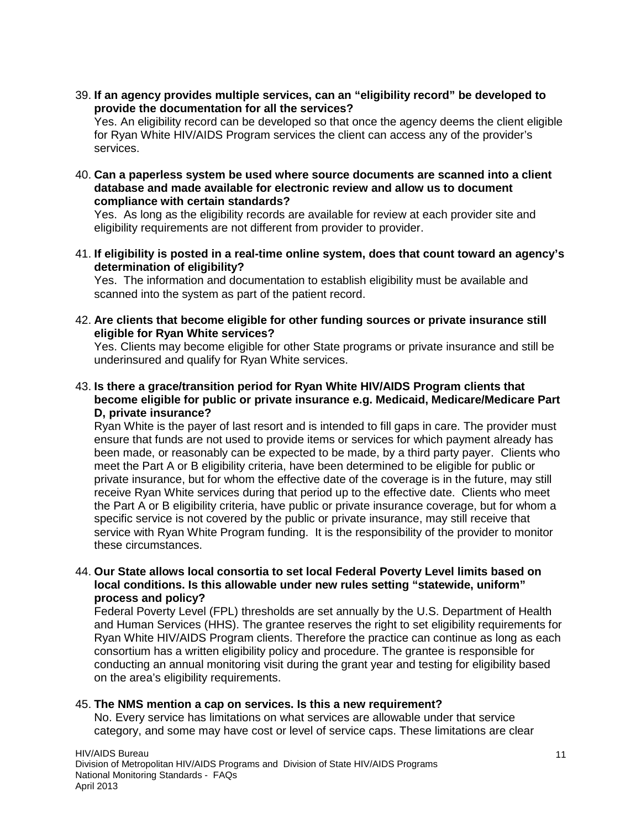39. **If an agency provides multiple services, can an "eligibility record" be developed to provide the documentation for all the services?**

Yes. An eligibility record can be developed so that once the agency deems the client eligible for Ryan White HIV/AIDS Program services the client can access any of the provider's services.

40. **Can a paperless system be used where source documents are scanned into a client database and made available for electronic review and allow us to document compliance with certain standards?**

Yes. As long as the eligibility records are available for review at each provider site and eligibility requirements are not different from provider to provider.

41. **If eligibility is posted in a real-time online system, does that count toward an agency's determination of eligibility?**

Yes.The information and documentation to establish eligibility must be available and scanned into the system as part of the patient record.

42. **Are clients that become eligible for other funding sources or private insurance still eligible for Ryan White services?**

Yes. Clients may become eligible for other State programs or private insurance and still be underinsured and qualify for Ryan White services.

43. **Is there a grace/transition period for Ryan White HIV/AIDS Program clients that become eligible for public or private insurance e.g. Medicaid, Medicare/Medicare Part D, private insurance?**

Ryan White is the payer of last resort and is intended to fill gaps in care. The provider must ensure that funds are not used to provide items or services for which payment already has been made, or reasonably can be expected to be made, by a third party payer. Clients who meet the Part A or B eligibility criteria, have been determined to be eligible for public or private insurance, but for whom the effective date of the coverage is in the future, may still receive Ryan White services during that period up to the effective date. Clients who meet the Part A or B eligibility criteria, have public or private insurance coverage, but for whom a specific service is not covered by the public or private insurance, may still receive that service with Ryan White Program funding. It is the responsibility of the provider to monitor these circumstances.

#### 44. **Our State allows local consortia to set local Federal Poverty Level limits based on local conditions. Is this allowable under new rules setting "statewide, uniform" process and policy?**

Federal Poverty Level (FPL) thresholds are set annually by the U.S. Department of Health and Human Services (HHS). The grantee reserves the right to set eligibility requirements for Ryan White HIV/AIDS Program clients. Therefore the practice can continue as long as each consortium has a written eligibility policy and procedure. The grantee is responsible for conducting an annual monitoring visit during the grant year and testing for eligibility based on the area's eligibility requirements.

#### 45. **The NMS mention a cap on services. Is this a new requirement?**

No. Every service has limitations on what services are allowable under that service category, and some may have cost or level of service caps. These limitations are clear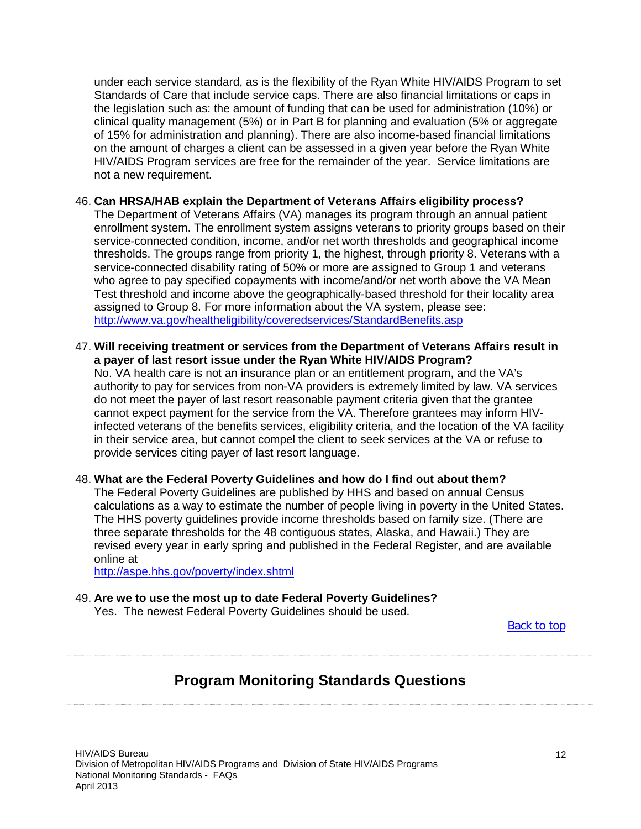under each service standard, as is the flexibility of the Ryan White HIV/AIDS Program to set Standards of Care that include service caps. There are also financial limitations or caps in the legislation such as: the amount of funding that can be used for administration (10%) or clinical quality management (5%) or in Part B for planning and evaluation (5% or aggregate of 15% for administration and planning). There are also income-based financial limitations on the amount of charges a client can be assessed in a given year before the Ryan White HIV/AIDS Program services are free for the remainder of the year. Service limitations are not a new requirement.

#### 46. **Can HRSA/HAB explain the Department of Veterans Affairs eligibility process?**

The Department of Veterans Affairs (VA) manages its program through an annual patient enrollment system. The enrollment system assigns veterans to priority groups based on their service-connected condition, income, and/or net worth thresholds and geographical income thresholds. The groups range from priority 1, the highest, through priority 8. Veterans with a service-connected disability rating of 50% or more are assigned to Group 1 and veterans who agree to pay specified copayments with income/and/or net worth above the VA Mean Test threshold and income above the geographically-based threshold for their locality area assigned to Group 8. For more information about the VA system, please see: <http://www.va.gov/healtheligibility/coveredservices/StandardBenefits.asp>

47. **Will receiving treatment or services from the Department of Veterans Affairs result in a payer of last resort issue under the Ryan White HIV/AIDS Program?** 

No. VA health care is not an insurance plan or an entitlement program, and the VA's authority to pay for services from non-VA providers is extremely limited by law. VA services do not meet the payer of last resort reasonable payment criteria given that the grantee cannot expect payment for the service from the VA. Therefore grantees may inform HIVinfected veterans of the benefits services, eligibility criteria, and the location of the VA facility in their service area, but cannot compel the client to seek services at the VA or refuse to provide services citing payer of last resort language.

#### 48. **What are the Federal Poverty Guidelines and how do I find out about them?**

The Federal Poverty Guidelines are published by HHS and based on annual Census calculations as a way to estimate the number of people living in poverty in the United States. The HHS poverty guidelines provide income thresholds based on family size. (There are three separate thresholds for the 48 contiguous states, Alaska, and Hawaii.) They are revised every year in early spring and published in the Federal Register, and are available online at

<http://aspe.hhs.gov/poverty/index.shtml>

#### 49. **Are we to use the most up to date Federal Poverty Guidelines?**

<span id="page-11-0"></span>Yes. The newest Federal Poverty Guidelines should be used.

[Back to top](#page-0-1)

# **Program Monitoring Standards Questions**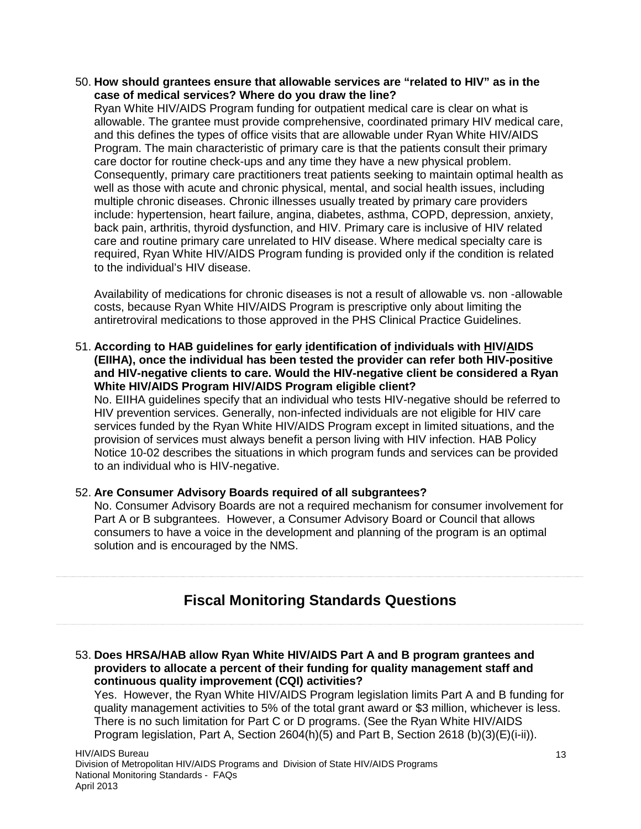50. **How should grantees ensure that allowable services are "related to HIV" as in the case of medical services? Where do you draw the line?** 

Ryan White HIV/AIDS Program funding for outpatient medical care is clear on what is allowable. The grantee must provide comprehensive, coordinated primary HIV medical care, and this defines the types of office visits that are allowable under Ryan White HIV/AIDS Program. The main characteristic of primary care is that the patients consult their primary care doctor for routine check-ups and any time they have a new physical problem. Consequently, primary care practitioners treat patients seeking to maintain optimal health as well as those with acute and chronic physical, mental, and social health issues, including multiple chronic diseases. Chronic illnesses usually treated by primary care providers include: hypertension, heart failure, angina, diabetes, asthma, COPD, depression, anxiety, back pain, arthritis, thyroid dysfunction, and HIV. Primary care is inclusive of HIV related care and routine primary care unrelated to HIV disease. Where medical specialty care is required, Ryan White HIV/AIDS Program funding is provided only if the condition is related to the individual's HIV disease.

Availability of medications for chronic diseases is not a result of allowable vs. non -allowable costs, because Ryan White HIV/AIDS Program is prescriptive only about limiting the antiretroviral medications to those approved in the PHS Clinical Practice Guidelines.

51. **According to HAB guidelines for early identification of individuals with HIV/AIDS (EIIHA), once the individual has been tested the provider can refer both HIV-positive and HIV-negative clients to care. Would the HIV-negative client be considered a Ryan White HIV/AIDS Program HIV/AIDS Program eligible client?**

No. EIIHA guidelines specify that an individual who tests HIV-negative should be referred to HIV prevention services. Generally, non-infected individuals are not eligible for HIV care services funded by the Ryan White HIV/AIDS Program except in limited situations, and the provision of services must always benefit a person living with HIV infection. HAB Policy Notice 10-02 describes the situations in which program funds and services can be provided to an individual who is HIV-negative.

#### 52. **Are Consumer Advisory Boards required of all subgrantees?**

No. Consumer Advisory Boards are not a required mechanism for consumer involvement for Part A or B subgrantees. However, a Consumer Advisory Board or Council that allows consumers to have a voice in the development and planning of the program is an optimal solution and is encouraged by the NMS.

# **Fiscal Monitoring Standards Questions**

<span id="page-12-0"></span>53. **Does HRSA/HAB allow Ryan White HIV/AIDS Part A and B program grantees and providers to allocate a percent of their funding for quality management staff and continuous quality improvement (CQI) activities?**

Yes. However, the Ryan White HIV/AIDS Program legislation limits Part A and B funding for quality management activities to 5% of the total grant award or \$3 million, whichever is less. There is no such limitation for Part C or D programs. (See the Ryan White HIV/AIDS Program legislation, Part A, Section 2604(h)(5) and Part B, Section 2618 (b)(3)(E)(i-ii)).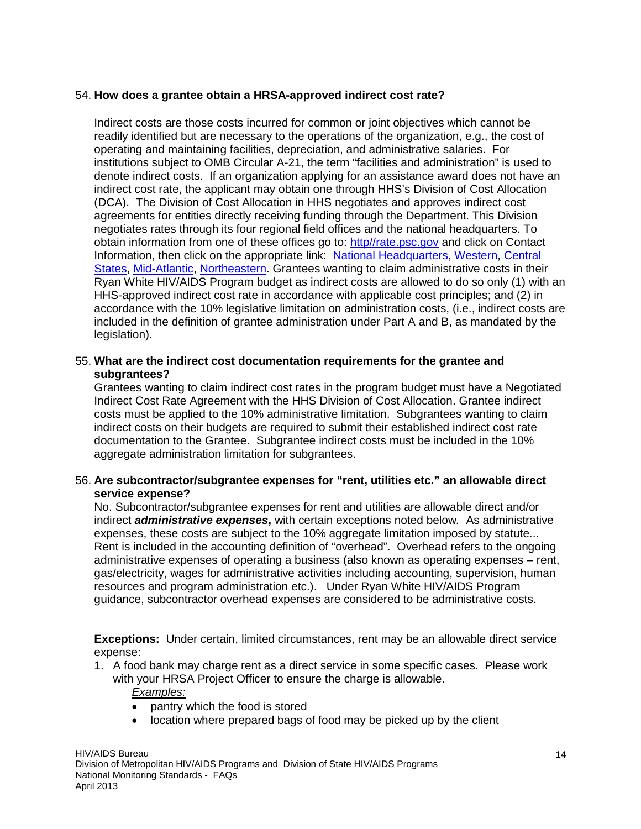#### 54. **How does a grantee obtain a HRSA-approved indirect cost rate?**

Indirect costs are those costs incurred for common or joint objectives which cannot be readily identified but are necessary to the operations of the organization, e.g., the cost of operating and maintaining facilities, depreciation, and administrative salaries. For institutions subject to OMB Circular A-21, the term "facilities and administration" is used to denote indirect costs. If an organization applying for an assistance award does not have an indirect cost rate, the applicant may obtain one through HHS's Division of Cost Allocation (DCA). The Division of Cost Allocation in HHS negotiates and approves indirect cost agreements for entities directly receiving funding through the Department. This Division negotiates rates through its four regional field offices and the national headquarters. To obtain information from one of these offices go to: http//rate.psc.gov and click on Contact Information, then click on the appropriate link: [National Headquarters,](http://rates.psc.gov/fms/dca/hq.html) [Western,](http://rates.psc.gov/fms/dca/western.html) [Central](http://rates.psc.gov/fms/dca/central.html)  [States,](http://rates.psc.gov/fms/dca/central.html) [Mid-Atlantic,](http://rates.psc.gov/fms/dca/midatlantic.html) [Northeastern.](http://rates.psc.gov/fms/dca/northeastern.html) Grantees wanting to claim administrative costs in their Ryan White HIV/AIDS Program budget as indirect costs are allowed to do so only (1) with an HHS-approved indirect cost rate in accordance with applicable cost principles; and (2) in accordance with the 10% legislative limitation on administration costs, (i.e., indirect costs are included in the definition of grantee administration under Part A and B, as mandated by the legislation).

#### 55. **What are the indirect cost documentation requirements for the grantee and subgrantees?**

Grantees wanting to claim indirect cost rates in the program budget must have a Negotiated Indirect Cost Rate Agreement with the HHS Division of Cost Allocation. Grantee indirect costs must be applied to the 10% administrative limitation. Subgrantees wanting to claim indirect costs on their budgets are required to submit their established indirect cost rate documentation to the Grantee. Subgrantee indirect costs must be included in the 10% aggregate administration limitation for subgrantees.

#### 56. **Are subcontractor/subgrantee expenses for "rent, utilities etc." an allowable direct service expense?**

No. Subcontractor/subgrantee expenses for rent and utilities are allowable direct and/or indirect *administrative expenses***,** with certain exceptions noted below*.* As administrative expenses, these costs are subject to the 10% aggregate limitation imposed by statute... Rent is included in the accounting definition of "overhead". Overhead refers to the ongoing administrative expenses of operating a business (also known as operating expenses – rent, gas/electricity, wages for administrative activities including accounting, supervision, human resources and program administration etc.). Under Ryan White HIV/AIDS Program guidance, subcontractor overhead expenses are considered to be administrative costs.

**Exceptions:** Under certain, limited circumstances, rent may be an allowable direct service expense:

1. A food bank may charge rent as a direct service in some specific cases. Please work with your HRSA Project Officer to ensure the charge is allowable.

#### *Examples:*

- pantry which the food is stored
- location where prepared bags of food may be picked up by the client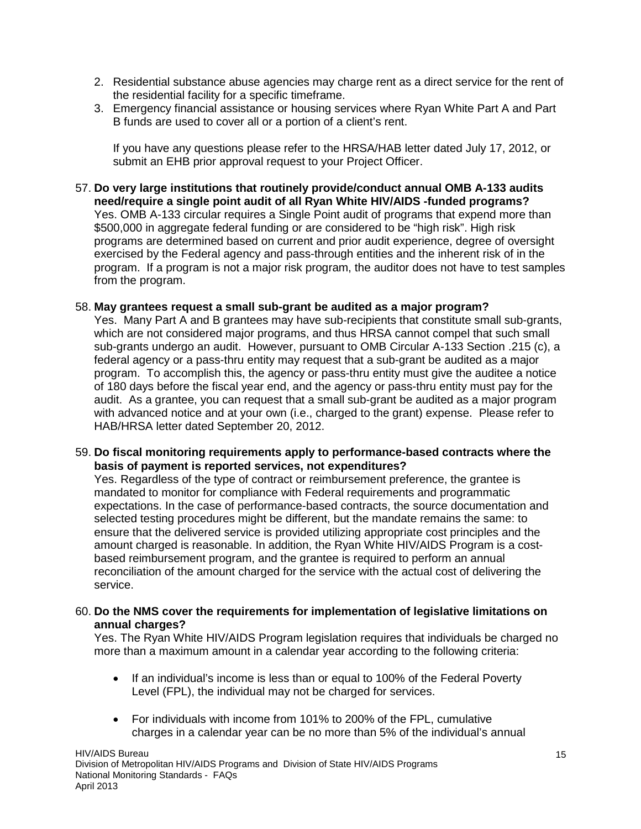- 2. Residential substance abuse agencies may charge rent as a direct service for the rent of the residential facility for a specific timeframe.
- 3. Emergency financial assistance or housing services where Ryan White Part A and Part B funds are used to cover all or a portion of a client's rent.

If you have any questions please refer to the HRSA/HAB letter dated July 17, 2012, or submit an EHB prior approval request to your Project Officer.

57. **Do very large institutions that routinely provide/conduct annual OMB A-133 audits need/require a single point audit of all Ryan White HIV/AIDS -funded programs?** Yes. OMB A-133 circular requires a Single Point audit of programs that expend more than \$500,000 in aggregate federal funding or are considered to be "high risk". High risk programs are determined based on current and prior audit experience, degree of oversight exercised by the Federal agency and pass-through entities and the inherent risk of in the program. If a program is not a major risk program, the auditor does not have to test samples from the program.

#### 58. **May grantees request a small sub-grant be audited as a major program?**

Yes. Many Part A and B grantees may have sub-recipients that constitute small sub-grants, which are not considered major programs, and thus HRSA cannot compel that such small sub-grants undergo an audit. However, pursuant to OMB Circular A-133 Section .215 (c), a federal agency or a pass-thru entity may request that a sub-grant be audited as a major program. To accomplish this, the agency or pass-thru entity must give the auditee a notice of 180 days before the fiscal year end, and the agency or pass-thru entity must pay for the audit. As a grantee, you can request that a small sub-grant be audited as a major program with advanced notice and at your own (i.e., charged to the grant) expense. Please refer to HAB/HRSA letter dated September 20, 2012.

59. **Do fiscal monitoring requirements apply to performance-based contracts where the basis of payment is reported services, not expenditures?**

Yes. Regardless of the type of contract or reimbursement preference, the grantee is mandated to monitor for compliance with Federal requirements and programmatic expectations. In the case of performance-based contracts, the source documentation and selected testing procedures might be different, but the mandate remains the same: to ensure that the delivered service is provided utilizing appropriate cost principles and the amount charged is reasonable. In addition, the Ryan White HIV/AIDS Program is a costbased reimbursement program, and the grantee is required to perform an annual reconciliation of the amount charged for the service with the actual cost of delivering the service.

#### 60. **Do the NMS cover the requirements for implementation of legislative limitations on annual charges?**

Yes. The Ryan White HIV/AIDS Program legislation requires that individuals be charged no more than a maximum amount in a calendar year according to the following criteria:

- If an individual's income is less than or equal to 100% of the Federal Poverty Level (FPL), the individual may not be charged for services.
- For individuals with income from 101% to 200% of the FPL, cumulative charges in a calendar year can be no more than 5% of the individual's annual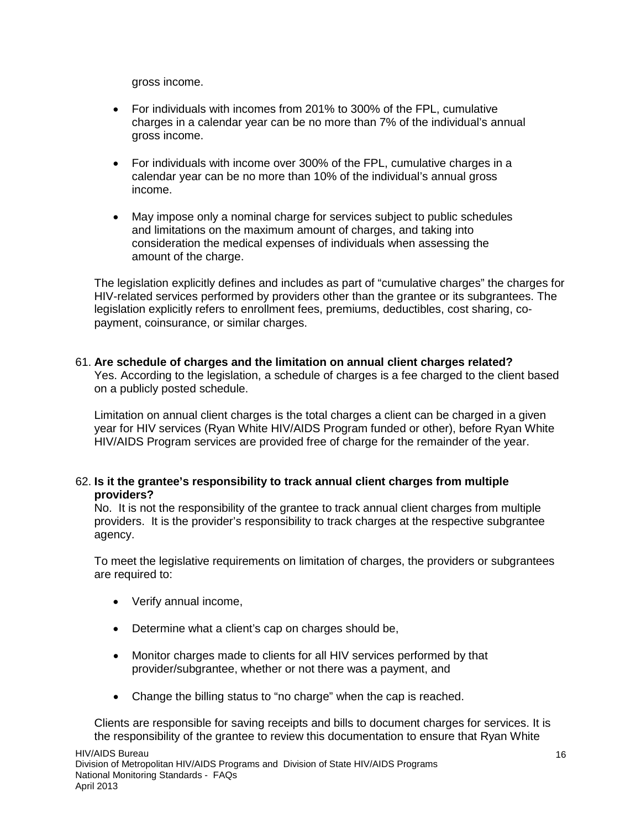gross income.

- For individuals with incomes from 201% to 300% of the FPL, cumulative charges in a calendar year can be no more than 7% of the individual's annual gross income.
- For individuals with income over 300% of the FPL, cumulative charges in a calendar year can be no more than 10% of the individual's annual gross income.
- May impose only a nominal charge for services subject to public schedules and limitations on the maximum amount of charges, and taking into consideration the medical expenses of individuals when assessing the amount of the charge.

The legislation explicitly defines and includes as part of "cumulative charges" the charges for HIV-related services performed by providers other than the grantee or its subgrantees. The legislation explicitly refers to enrollment fees, premiums, deductibles, cost sharing, copayment, coinsurance, or similar charges.

#### 61. **Are schedule of charges and the limitation on annual client charges related?**

Yes. According to the legislation, a schedule of charges is a fee charged to the client based on a publicly posted schedule.

Limitation on annual client charges is the total charges a client can be charged in a given year for HIV services (Ryan White HIV/AIDS Program funded or other), before Ryan White HIV/AIDS Program services are provided free of charge for the remainder of the year.

#### 62. **Is it the grantee's responsibility to track annual client charges from multiple providers?**

No. It is not the responsibility of the grantee to track annual client charges from multiple providers. It is the provider's responsibility to track charges at the respective subgrantee agency.

To meet the legislative requirements on limitation of charges, the providers or subgrantees are required to:

- Verify annual income,
- Determine what a client's cap on charges should be,
- Monitor charges made to clients for all HIV services performed by that provider/subgrantee, whether or not there was a payment, and
- Change the billing status to "no charge" when the cap is reached.

Clients are responsible for saving receipts and bills to document charges for services. It is the responsibility of the grantee to review this documentation to ensure that Ryan White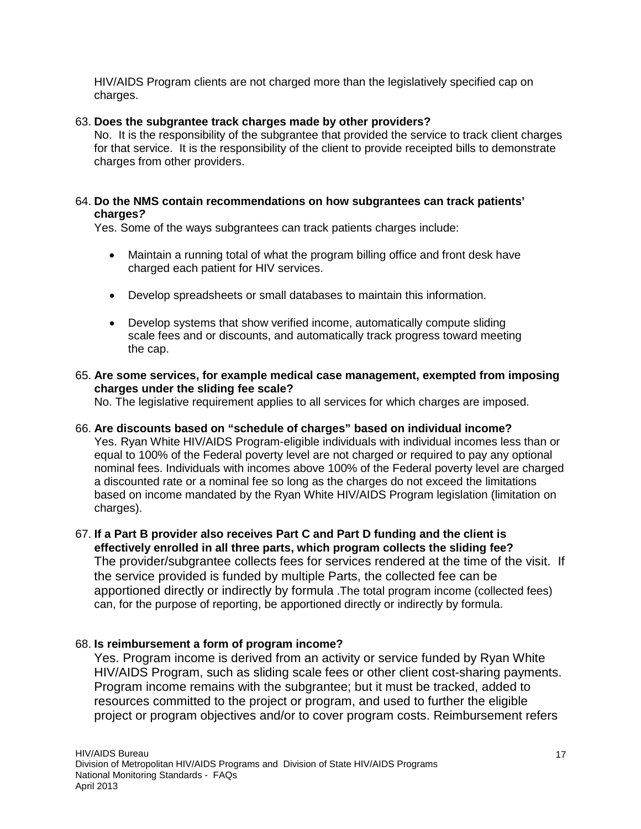HIV/AIDS Program clients are not charged more than the legislatively specified cap on charges.

#### 63. **Does the subgrantee track charges made by other providers?**

No. It is the responsibility of the subgrantee that provided the service to track client charges for that service. It is the responsibility of the client to provide receipted bills to demonstrate charges from other providers.

#### 64. **Do the NMS contain recommendations on how subgrantees can track patients' charges***?*

Yes. Some of the ways subgrantees can track patients charges include:

- Maintain a running total of what the program billing office and front desk have charged each patient for HIV services.
- Develop spreadsheets or small databases to maintain this information.
- Develop systems that show verified income, automatically compute sliding scale fees and or discounts, and automatically track progress toward meeting the cap.

#### 65. **Are some services, for example medical case management, exempted from imposing charges under the sliding fee scale?**

No. The legislative requirement applies to all services for which charges are imposed.

#### 66. **Are discounts based on "schedule of charges" based on individual income?**

Yes. Ryan White HIV/AIDS Program-eligible individuals with individual incomes less than or equal to 100% of the Federal poverty level are not charged or required to pay any optional nominal fees. Individuals with incomes above 100% of the Federal poverty level are charged a discounted rate or a nominal fee so long as the charges do not exceed the limitations based on income mandated by the Ryan White HIV/AIDS Program legislation (limitation on charges).

#### 67. **If a Part B provider also receives Part C and Part D funding and the client is effectively enrolled in all three parts, which program collects the sliding fee?** The provider/subgrantee collects fees for services rendered at the time of the visit. If the service provided is funded by multiple Parts, the collected fee can be apportioned directly or indirectly by formula .The total program income (collected fees) can, for the purpose of reporting, be apportioned directly or indirectly by formula.

#### 68. **Is reimbursement a form of program income?**

Yes. Program income is derived from an activity or service funded by Ryan White HIV/AIDS Program, such as sliding scale fees or other client cost-sharing payments. Program income remains with the subgrantee; but it must be tracked, added to resources committed to the project or program, and used to further the eligible project or program objectives and/or to cover program costs. Reimbursement refers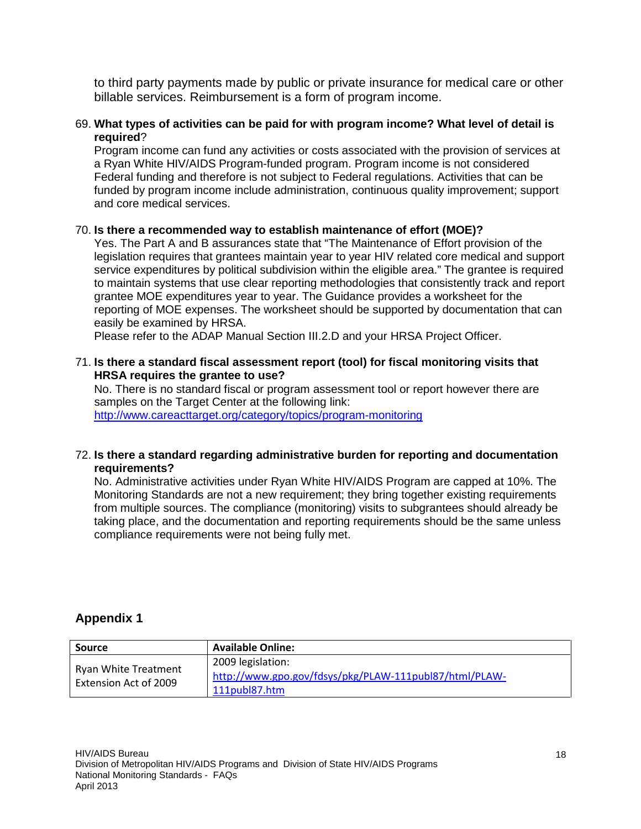to third party payments made by public or private insurance for medical care or other billable services. Reimbursement is a form of program income.

#### 69. **What types of activities can be paid for with program income? What level of detail is required**?

Program income can fund any activities or costs associated with the provision of services at a Ryan White HIV/AIDS Program-funded program. Program income is not considered Federal funding and therefore is not subject to Federal regulations. Activities that can be funded by program income include administration, continuous quality improvement; support and core medical services.

#### 70. **Is there a recommended way to establish maintenance of effort (MOE)?**

Yes. The Part A and B assurances state that "The Maintenance of Effort provision of the legislation requires that grantees maintain year to year HIV related core medical and support service expenditures by political subdivision within the eligible area." The grantee is required to maintain systems that use clear reporting methodologies that consistently track and report grantee MOE expenditures year to year. The Guidance provides a worksheet for the reporting of MOE expenses. The worksheet should be supported by documentation that can easily be examined by HRSA.

Please refer to the ADAP Manual Section III.2.D and your HRSA Project Officer.

#### 71. **Is there a standard fiscal assessment report (tool) for fiscal monitoring visits that HRSA requires the grantee to use?**

No. There is no standard fiscal or program assessment tool or report however there are samples on the Target Center at the following link: <http://www.careacttarget.org/category/topics/program-monitoring>

72. **Is there a standard regarding administrative burden for reporting and documentation** 

#### **requirements?**

No. Administrative activities under Ryan White HIV/AIDS Program are capped at 10%. The Monitoring Standards are not a new requirement; they bring together existing requirements from multiple sources. The compliance (monitoring) visits to subgrantees should already be taking place, and the documentation and reporting requirements should be the same unless compliance requirements were not being fully met.

#### <span id="page-17-0"></span>**Appendix 1**

| <b>Source</b>                                 | <b>Available Online:</b>                                                                     |
|-----------------------------------------------|----------------------------------------------------------------------------------------------|
| Ryan White Treatment<br>Extension Act of 2009 | 2009 legislation:<br>http://www.gpo.gov/fdsys/pkg/PLAW-111publ87/html/PLAW-<br>111publ87.htm |